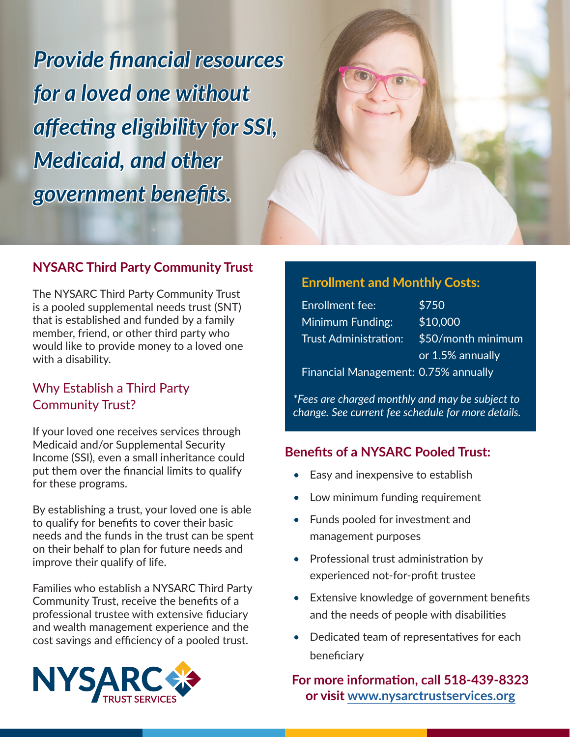*Provide financial resources for a loved one without affecting eligibility for SSI, Medicaid, and other government benefits.*



## **NYSARC Third Party Community Trust**

The NYSARC Third Party Community Trust is a pooled supplemental needs trust (SNT) that is established and funded by a family member, friend, or other third party who would like to provide money to a loved one with a disability.

### Why Establish a Third Party Community Trust?

If your loved one receives services through Medicaid and/or Supplemental Security Income (SSI), even a small inheritance could put them over the financial limits to qualify for these programs.

By establishing a trust, your loved one is able to qualify for benefits to cover their basic needs and the funds in the trust can be spent on their behalf to plan for future needs and improve their qualify of life.

Families who establish a NYSARC Third Party Community Trust, receive the benefits of a professional trustee with extensive fiduciary and wealth management experience and the cost savings and efficiency of a pooled trust.



#### **Enrollment and Monthly Costs:**

| <b>Enrollment fee:</b>                      | \$750              |
|---------------------------------------------|--------------------|
| Minimum Funding:                            | \$10,000           |
| <b>Trust Administration:</b>                | \$50/month minimum |
|                                             | or 1.5% annually   |
| <b>Financial Management: 0.75% annually</b> |                    |

*\*Fees are charged monthly and may be subject to change. See current fee schedule for more details.*

#### **Benefits of a NYSARC Pooled Trust:**

- Easy and inexpensive to establish
- Low minimum funding requirement
- Funds pooled for investment and management purposes
- Professional trust administration by experienced not-for-profit trustee
- Extensive knowledge of government benefits and the needs of people with disabilities
- Dedicated team of representatives for each beneficiary

**For more information, call 518-439-8323 or visit [www.nysarctrustservices.org](https://www.nysarctrustservices.org/nysarc-trusts/third-party-pooled-trust/)**